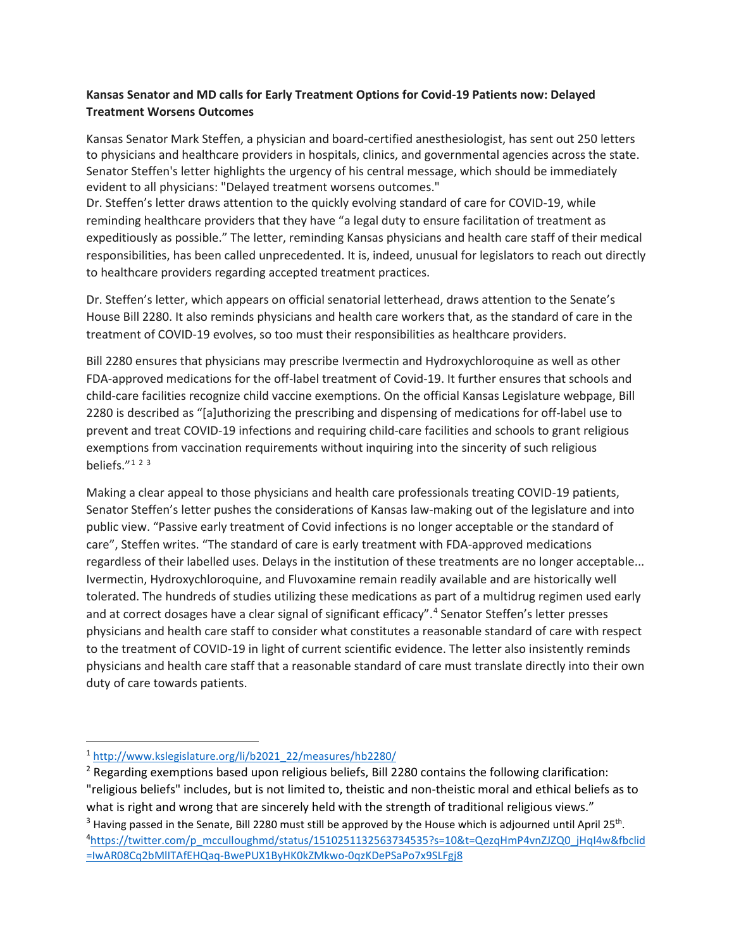## **Kansas Senator and MD calls for Early Treatment Options for Covid-19 Patients now: Delayed Treatment Worsens Outcomes**

Kansas Senator Mark Steffen, a physician and board-certified anesthesiologist, has sent out 250 letters to physicians and healthcare providers in hospitals, clinics, and governmental agencies across the state. Senator Steffen's letter highlights the urgency of his central message, which should be immediately evident to all physicians: "Delayed treatment worsens outcomes."

Dr. Steffen's letter draws attention to the quickly evolving standard of care for COVID-19, while reminding healthcare providers that they have "a legal duty to ensure facilitation of treatment as expeditiously as possible." The letter, reminding Kansas physicians and health care staff of their medical responsibilities, has been called unprecedented. It is, indeed, unusual for legislators to reach out directly to healthcare providers regarding accepted treatment practices.

Dr. Steffen's letter, which appears on official senatorial letterhead, draws attention to the Senate's House Bill 2280. It also reminds physicians and health care workers that, as the standard of care in the treatment of COVID-19 evolves, so too must their responsibilities as healthcare providers.

Bill 2280 ensures that physicians may prescribe Ivermectin and Hydroxychloroquine as well as other FDA-approved medications for the off-label treatment of Covid-19. It further ensures that schools and child-care facilities recognize child vaccine exemptions. On the official Kansas Legislature webpage, Bill 2280 is described as "[a]uthorizing the prescribing and dispensing of medications for off-label use to prevent and treat COVID-19 infections and requiring child-care facilities and schools to grant religious exemptions from vaccination requirements without inquiring into the sincerity of such religious beliefs. $7123$  $7123$  $7123$  $7123$ 

Making a clear appeal to those physicians and health care professionals treating COVID-19 patients, Senator Steffen's letter pushes the considerations of Kansas law-making out of the legislature and into public view. "Passive early treatment of Covid infections is no longer acceptable or the standard of care", Steffen writes. "The standard of care is early treatment with FDA-approved medications regardless of their labelled uses. Delays in the institution of these treatments are no longer acceptable... Ivermectin, Hydroxychloroquine, and Fluvoxamine remain readily available and are historically well tolerated. The hundreds of studies utilizing these medications as part of a multidrug regimen used early and at correct dosages have a clear signal of significant efficacy".<sup>[4](#page-0-3)</sup> Senator Steffen's letter presses physicians and health care staff to consider what constitutes a reasonable standard of care with respect to the treatment of COVID-19 in light of current scientific evidence. The letter also insistently reminds physicians and health care staff that a reasonable standard of care must translate directly into their own duty of care towards patients.

<span id="page-0-0"></span><sup>1</sup> [http://www.kslegislature.org/li/b2021\\_22/measures/hb2280/](http://www.kslegislature.org/li/b2021_22/measures/hb2280/)

<span id="page-0-1"></span><sup>&</sup>lt;sup>2</sup> Regarding exemptions based upon religious beliefs, Bill 2280 contains the following clarification: "religious beliefs" includes, but is not limited to, theistic and non-theistic moral and ethical beliefs as to what is right and wrong that are sincerely held with the strength of traditional religious views."

<span id="page-0-3"></span><span id="page-0-2"></span> $3$  Having passed in the Senate, Bill 2280 must still be approved by the House which is adjourned until April 25<sup>th</sup>. 4 [https://twitter.com/p\\_mcculloughmd/status/1510251132563734535?s=10&t=QezqHmP4vnZJZQ0\\_jHqI4w&fbclid](https://twitter.com/p_mcculloughmd/status/1510251132563734535?s=10&t=QezqHmP4vnZJZQ0_jHqI4w&fbclid=IwAR08Cq2bMlITAfEHQaq-BwePUX1ByHK0kZMkwo-0qzKDePSaPo7x9SLFgj8) [=IwAR08Cq2bMlITAfEHQaq-BwePUX1ByHK0kZMkwo-0qzKDePSaPo7x9SLFgj8](https://twitter.com/p_mcculloughmd/status/1510251132563734535?s=10&t=QezqHmP4vnZJZQ0_jHqI4w&fbclid=IwAR08Cq2bMlITAfEHQaq-BwePUX1ByHK0kZMkwo-0qzKDePSaPo7x9SLFgj8)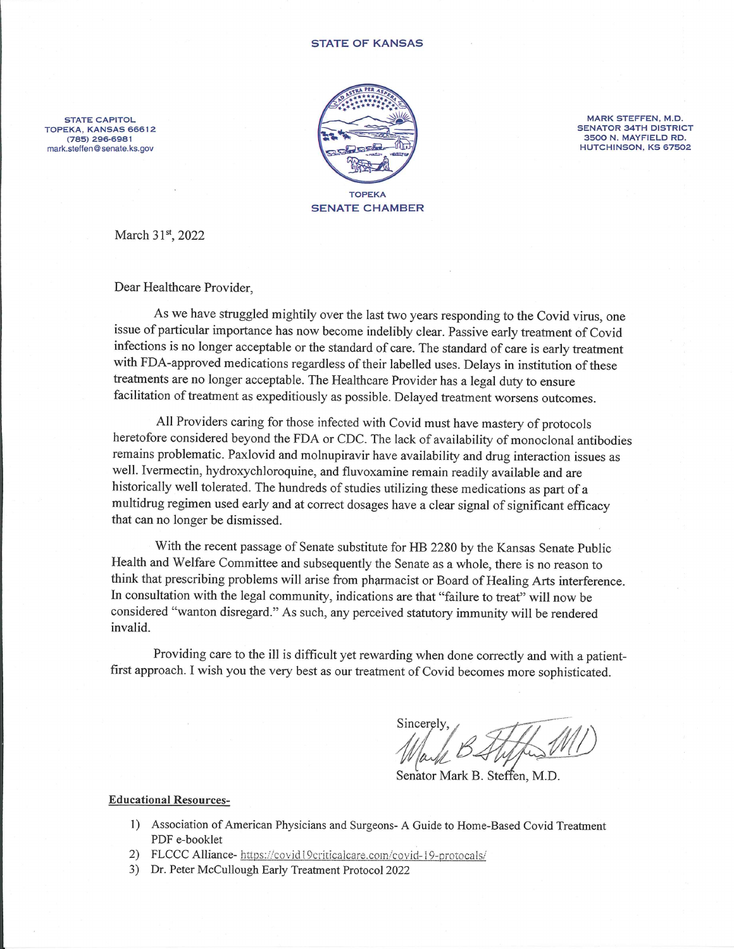**STATE CAPITOL** TOPEKA, KANSAS 66612 (785) 296-6981 mark.steffen@senate.ks.gov



MARK STEFFEN, M.D. **SENATOR 34TH DISTRICT** 3500 N. MAYFIELD RD. HUTCHINSON, KS 67502

March 31st, 2022

Dear Healthcare Provider,

As we have struggled mightily over the last two years responding to the Covid virus, one issue of particular importance has now become indelibly clear. Passive early treatment of Covid infections is no longer acceptable or the standard of care. The standard of care is early treatment with FDA-approved medications regardless of their labelled uses. Delays in institution of these treatments are no longer acceptable. The Healthcare Provider has a legal duty to ensure facilitation of treatment as expeditiously as possible. Delayed treatment worsens outcomes.

All Providers caring for those infected with Covid must have mastery of protocols heretofore considered beyond the FDA or CDC. The lack of availability of monoclonal antibodies remains problematic. Paxlovid and molnupiravir have availability and drug interaction issues as well. Ivermectin, hydroxychloroquine, and fluvoxamine remain readily available and are historically well tolerated. The hundreds of studies utilizing these medications as part of a multidrug regimen used early and at correct dosages have a clear signal of significant efficacy that can no longer be dismissed.

With the recent passage of Senate substitute for HB 2280 by the Kansas Senate Public Health and Welfare Committee and subsequently the Senate as a whole, there is no reason to think that prescribing problems will arise from pharmacist or Board of Healing Arts interference. In consultation with the legal community, indications are that "failure to treat" will now be considered "wanton disregard." As such, any perceived statutory immunity will be rendered invalid.

Providing care to the ill is difficult yet rewarding when done correctly and with a patientfirst approach. I wish you the very best as our treatment of Covid becomes more sophisticated.

Sincerely

Senator Mark B. Steffen, M.D.

**Educational Resources-**

- 1) Association of American Physicians and Surgeons- A Guide to Home-Based Covid Treatment PDF e-booklet
- 2) FLCCC Alliance- https://covid19criticalcare.com/covid-19-protocals/
- 3) Dr. Peter McCullough Early Treatment Protocol 2022